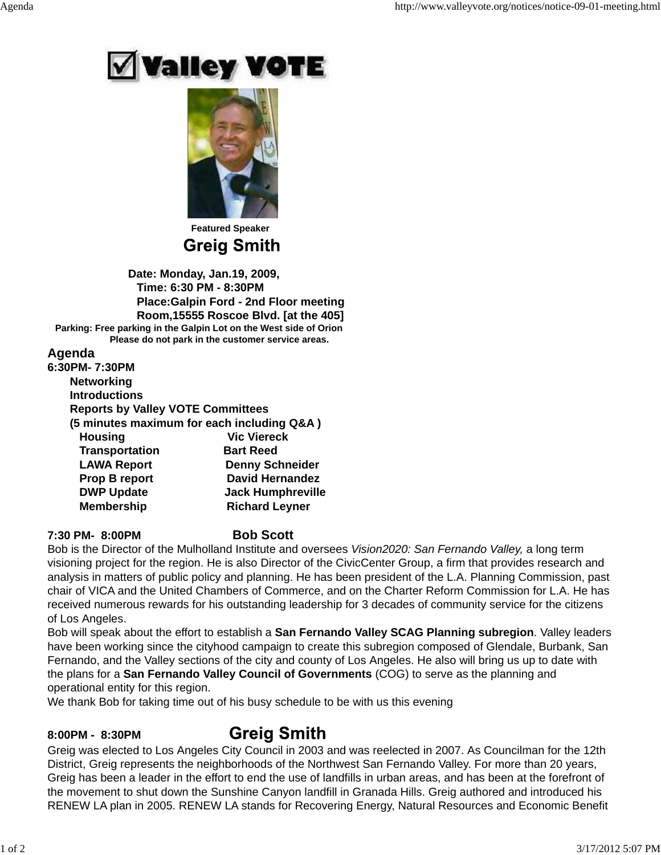



 **Featured Speaker Greig Smith** 

 **Date: Monday, Jan.19, 2009, Time: 6:30 PM - 8:30PM Place:Galpin Ford - 2nd Floor meeting Room,15555 Roscoe Blvd. [at the 405] Parking: Free parking in the Galpin Lot on the West side of Orion Please do not park in the customer service areas.**

## **Agenda**

| 6:30PM- 7:30PM                           |                                            |
|------------------------------------------|--------------------------------------------|
| <b>Networking</b>                        |                                            |
| <b>Introductions</b>                     |                                            |
| <b>Reports by Valley VOTE Committees</b> |                                            |
|                                          | (5 minutes maximum for each including Q&A) |
| <b>Housing</b>                           | <b>Vic Viereck</b>                         |
| <b>Transportation</b>                    | <b>Bart Reed</b>                           |
| <b>LAWA Report</b>                       | <b>Denny Schneider</b>                     |
| Prop B report                            | <b>David Hernandez</b>                     |
| <b>DWP Update</b>                        | <b>Jack Humphreville</b>                   |
| <b>Membership</b>                        | <b>Richard Leyner</b>                      |
|                                          |                                            |

### **7:30 PM- 8:00PM Bob Scott**

Bob is the Director of the Mulholland Institute and oversees *Vision2020: San Fernando Valley,* a long term visioning project for the region. He is also Director of the CivicCenter Group, a firm that provides research and analysis in matters of public policy and planning. He has been president of the L.A. Planning Commission, past chair of VICA and the United Chambers of Commerce, and on the Charter Reform Commission for L.A. He has received numerous rewards for his outstanding leadership for 3 decades of community service for the citizens of Los Angeles.

Bob will speak about the effort to establish a **San Fernando Valley SCAG Planning subregion**. Valley leaders have been working since the cityhood campaign to create this subregion composed of Glendale, Burbank, San Fernando, and the Valley sections of the city and county of Los Angeles. He also will bring us up to date with the plans for a **San Fernando Valley Council of Governments** (COG) to serve as the planning and operational entity for this region.

We thank Bob for taking time out of his busy schedule to be with us this evening

# **8:00PM - 8:30PM**

# **Greig Smith**

Greig was elected to Los Angeles City Council in 2003 and was reelected in 2007. As Councilman for the 12th District, Greig represents the neighborhoods of the Northwest San Fernando Valley. For more than 20 years, Greig has been a leader in the effort to end the use of landfills in urban areas, and has been at the forefront of the movement to shut down the Sunshine Canyon landfill in Granada Hills. Greig authored and introduced his RENEW LA plan in 2005. RENEW LA stands for Recovering Energy, Natural Resources and Economic Benefit